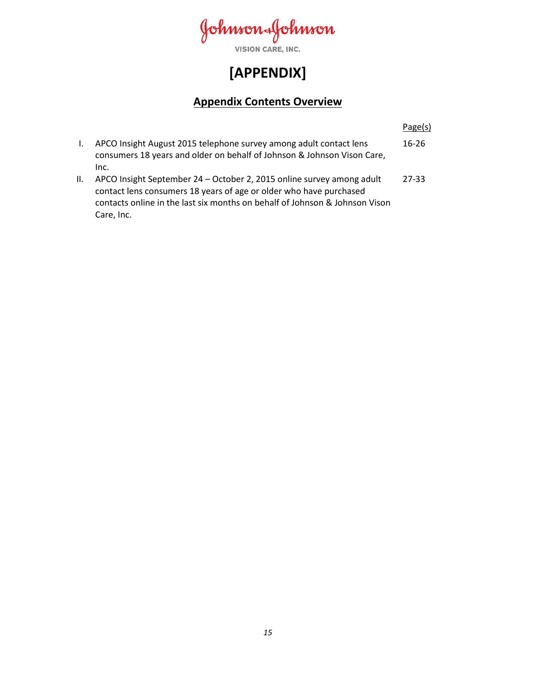Johnson-Johnson

VISION CARE, INC.

# **[APPENDIX]**

# **Appendix Contents Overview**

|              |                                                                                                                                                                                                                                          | Page(s)   |
|--------------|------------------------------------------------------------------------------------------------------------------------------------------------------------------------------------------------------------------------------------------|-----------|
| $\mathbf{L}$ | APCO Insight August 2015 telephone survey among adult contact lens<br>consumers 18 years and older on behalf of Johnson & Johnson Vison Care,<br>Inc.                                                                                    | $16 - 26$ |
| II.          | APCO Insight September 24 - October 2, 2015 online survey among adult<br>contact lens consumers 18 years of age or older who have purchased<br>contacts online in the last six months on behalf of Johnson & Johnson Vison<br>Care, Inc. | 27-33     |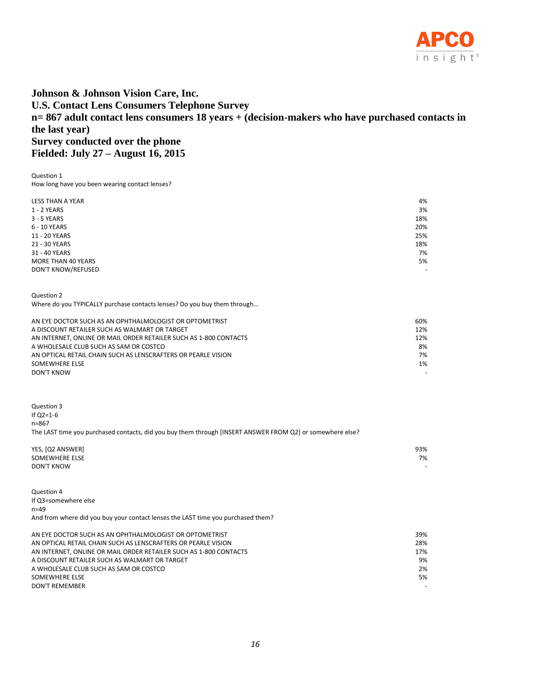

### **Johnson & Johnson Vision Care, Inc. U.S. Contact Lens Consumers Telephone Survey n= 867 adult contact lens consumers 18 years + (decision-makers who have purchased contacts in the last year) Survey conducted over the phone Fielded: July 27 – August 16, 2015**

Question 1 How long have you been wearing contact lenses?

| <b>LESS THAN A YEAR</b> | 4%                       |
|-------------------------|--------------------------|
| 1 - 2 YEARS             | 3%                       |
| 3 - 5 YEARS             | 18%                      |
| 6 - 10 YEARS            | 20%                      |
| 11 - 20 YEARS           | 25%                      |
| 21 - 30 YEARS           | 18%                      |
| 31 - 40 YEARS           | 7%                       |
| MORE THAN 40 YEARS      | 5%                       |
| DON'T KNOW/REFUSED      | $\overline{\phantom{0}}$ |
|                         |                          |

Question 2

Where do you TYPICALLY purchase contacts lenses? Do you buy them through...

| AN EYE DOCTOR SUCH AS AN OPHTHALMOLOGIST OR OPTOMETRIST           | 60% |
|-------------------------------------------------------------------|-----|
| A DISCOUNT RETAILER SUCH AS WALMART OR TARGET                     | 12% |
| AN INTERNET, ONLINE OR MAIL ORDER RETAILER SUCH AS 1-800 CONTACTS | 12% |
| A WHOLESALE CLUB SUCH AS SAM OR COSTCO                            | 8%  |
| AN OPTICAL RETAIL CHAIN SUCH AS LENSCRAFTERS OR PEARLE VISION     | 7%  |
| SOMEWHERE ELSE                                                    | 1%  |
| DON'T KNOW                                                        |     |

Question 3 If Q2=1-6 n=867 The LAST time you purchased contacts, did you buy them through [INSERT ANSWER FROM Q2] or somewhere else?

| YES, [Q2 ANSWER]  | 93% |
|-------------------|-----|
| SOMEWHERE ELSE    | 7%  |
| <b>DON'T KNOW</b> |     |

Question 4 If Q3=somewhere else n=49 And from where did you buy your contact lenses the LAST time you purchased them?

| AN EYE DOCTOR SUCH AS AN OPHTHALMOLOGIST OR OPTOMETRIST           | 39%                      |
|-------------------------------------------------------------------|--------------------------|
| AN OPTICAL RETAIL CHAIN SUCH AS LENSCRAFTERS OR PEARLE VISION     | 28%                      |
| AN INTERNET. ONLINE OR MAIL ORDER RETAILER SUCH AS 1-800 CONTACTS | 17%                      |
| A DISCOUNT RETAILER SUCH AS WALMART OR TARGET                     | 9%                       |
| A WHOLESALE CLUB SUCH AS SAM OR COSTCO                            | 2%                       |
| SOMEWHERE ELSE                                                    | 5%                       |
| DON'T REMEMBER                                                    | $\overline{\phantom{0}}$ |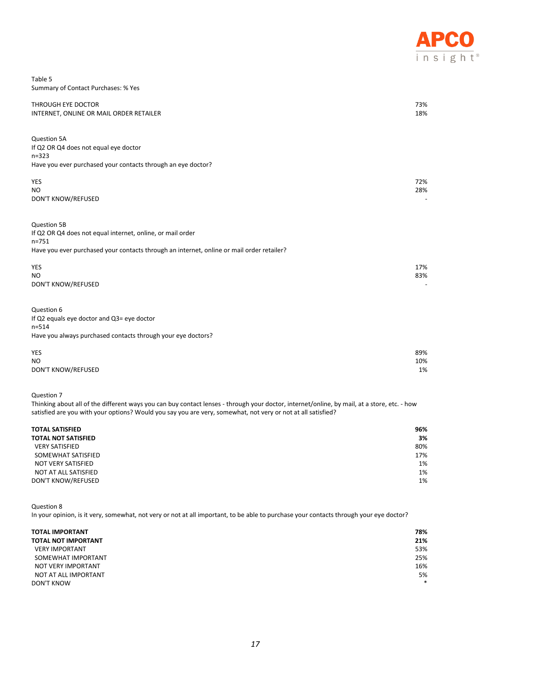

| Table 5                             |  |
|-------------------------------------|--|
| Summary of Contact Purchases: % Yes |  |

| THROUGH EYE DOCTOR<br>INTERNET, ONLINE OR MAIL ORDER RETAILER                                                                                                                       | 73%<br>18%       |
|-------------------------------------------------------------------------------------------------------------------------------------------------------------------------------------|------------------|
| Question 5A<br>If Q2 OR Q4 does not equal eye doctor<br>$n = 323$<br>Have you ever purchased your contacts through an eye doctor?                                                   |                  |
| YES<br>N <sub>O</sub><br>DON'T KNOW/REFUSED                                                                                                                                         | 72%<br>28%       |
| Question 5B<br>If Q2 OR Q4 does not equal internet, online, or mail order<br>$n = 751$<br>Have you ever purchased your contacts through an internet, online or mail order retailer? |                  |
| <b>YES</b><br>N <sub>O</sub><br>DON'T KNOW/REFUSED                                                                                                                                  | 17%<br>83%       |
| Question 6<br>If Q2 equals eye doctor and Q3= eye doctor<br>$n = 514$<br>Have you always purchased contacts through your eye doctors?                                               |                  |
| YES<br>N <sub>O</sub><br><b>DON'T KNOW/REFUSED</b>                                                                                                                                  | 89%<br>10%<br>1% |

Thinking about all of the different ways you can buy contact lenses - through your doctor, internet/online, by mail, at a store, etc. - how satisfied are you with your options? Would you say you are very, somewhat, not very or not at all satisfied?

| <b>TOTAL SATISFIED</b><br><b>TOTAL NOT SATISFIED</b> | 96%<br>3% |
|------------------------------------------------------|-----------|
| <b>VERY SATISFIED</b>                                | 80%       |
| SOMEWHAT SATISFIED                                   | 17%       |
| NOT VERY SATISFIED                                   | 1%        |
| NOT AT ALL SATISFIED                                 | 1%        |
| DON'T KNOW/REFUSED                                   | 1%        |

Question 8

In your opinion, is it very, somewhat, not very or not at all important, to be able to purchase your contacts through your eye doctor?

| <b>TOTAL IMPORTANT</b>     | 78%    |
|----------------------------|--------|
| <b>TOTAL NOT IMPORTANT</b> | 21%    |
| <b>VERY IMPORTANT</b>      | 53%    |
| SOMEWHAT IMPORTANT         | 25%    |
| NOT VERY IMPORTANT         | 16%    |
| NOT AT ALL IMPORTANT       | 5%     |
| <b>DON'T KNOW</b>          | $\ast$ |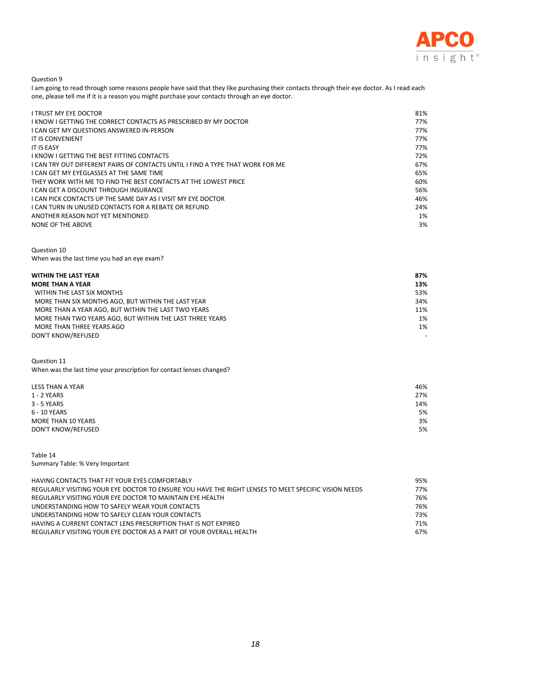

I am going to read through some reasons people have said that they like purchasing their contacts through their eye doctor. As I read each one, please tell me if it is a reason you might purchase your contacts through an eye doctor.

| I TRUST MY EYE DOCTOR                                                        | 81% |
|------------------------------------------------------------------------------|-----|
| I KNOW I GETTING THE CORRECT CONTACTS AS PRESCRIBED BY MY DOCTOR             | 77% |
| I CAN GET MY QUESTIONS ANSWERED IN-PERSON                                    | 77% |
| IT IS CONVENIENT                                                             | 77% |
| <b>IT IS EASY</b>                                                            | 77% |
| I KNOW I GETTING THE BEST FITTING CONTACTS                                   | 72% |
| LCAN TRY OUT DIFFERENT PAIRS OF CONTACTS UNTIL LFIND A TYPE THAT WORK FOR ME | 67% |
| I CAN GET MY EYEGLASSES AT THE SAME TIME                                     | 65% |
| THEY WORK WITH ME TO FIND THE BEST CONTACTS AT THE LOWEST PRICE              | 60% |
| I CAN GET A DISCOUNT THROUGH INSURANCE                                       | 56% |
| I CAN PICK CONTACTS UP THE SAME DAY AS I VISIT MY EYE DOCTOR                 | 46% |
| I CAN TURN IN UNUSED CONTACTS FOR A REBATE OR REFUND                         | 24% |
| ANOTHER REASON NOT YET MENTIONED                                             | 1%  |
| NONE OF THE ABOVE                                                            | 3%  |

Question 10 When was the last time you had an eye exam?

| <b>WITHIN THE LAST YEAR</b>                              | 87%                      |
|----------------------------------------------------------|--------------------------|
| <b>MORE THAN A YEAR</b>                                  | 13%                      |
| WITHIN THE LAST SIX MONTHS                               | 53%                      |
| MORE THAN SIX MONTHS AGO. BUT WITHIN THE LAST YEAR       | 34%                      |
| MORE THAN A YEAR AGO, BUT WITHIN THE LAST TWO YEARS      | 11%                      |
| MORE THAN TWO YEARS AGO. BUT WITHIN THE LAST THREE YEARS | $1\%$                    |
| MORE THAN THREE YEARS AGO                                | 1%                       |
| <b>DON'T KNOW/REFUSED</b>                                | $\overline{\phantom{0}}$ |

Question 11

When was the last time your prescription for contact lenses changed?

| LESS THAN A YEAR          | 46% |
|---------------------------|-----|
| 1 - 2 YEARS               | 27% |
| 3 - 5 YEARS               | 14% |
| 6 - 10 YEARS              | 5%  |
| MORE THAN 10 YEARS        | 3%  |
| <b>DON'T KNOW/REFUSED</b> | 5%  |

Table 14 Summary Table: % Very Important

| HAVING CONTACTS THAT FIT YOUR EYES COMFORTABLY                                                       | 95% |
|------------------------------------------------------------------------------------------------------|-----|
| REGULARLY VISITING YOUR EYE DOCTOR TO ENSURE YOU HAVE THE RIGHT LENSES TO MEET SPECIFIC VISION NEEDS | 77% |
| REGULARLY VISITING YOUR EYE DOCTOR TO MAINTAIN EYE HEALTH                                            | 76% |
| UNDERSTANDING HOW TO SAFELY WEAR YOUR CONTACTS                                                       | 76% |
| UNDERSTANDING HOW TO SAFELY CLEAN YOUR CONTACTS                                                      | 73% |
| HAVING A CURRENT CONTACT LENS PRESCRIPTION THAT IS NOT EXPIRED                                       | 71% |
| REGULARLY VISITING YOUR EYE DOCTOR AS A PART OF YOUR OVERALL HEALTH                                  | 67% |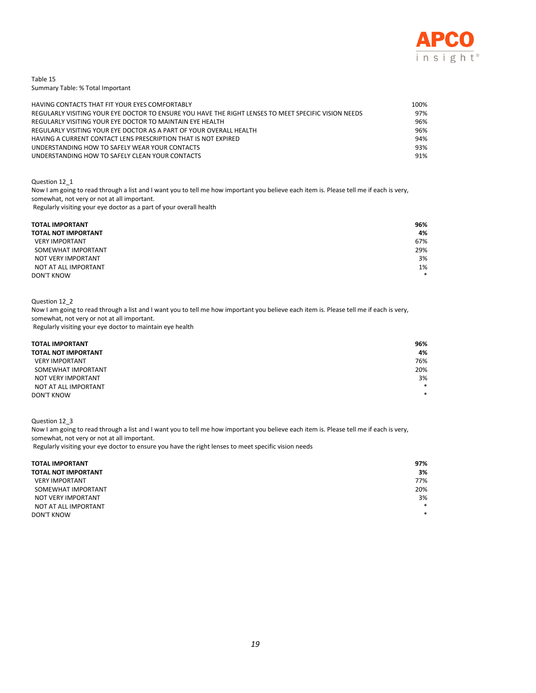

Table 15 Summary Table: % Total Important

| HAVING CONTACTS THAT FIT YOUR EYES COMFORTABLY                                                       | 100% |
|------------------------------------------------------------------------------------------------------|------|
| REGULARLY VISITING YOUR EYE DOCTOR TO ENSURE YOU HAVE THE RIGHT LENSES TO MEET SPECIFIC VISION NEEDS | 97%  |
| REGULARLY VISITING YOUR EYE DOCTOR TO MAINTAIN EYE HEALTH                                            | 96%  |
| REGULARLY VISITING YOUR EYE DOCTOR AS A PART OF YOUR OVERALL HEALTH                                  | 96%  |
| HAVING A CURRENT CONTACT LENS PRESCRIPTION THAT IS NOT EXPIRED                                       | 94%  |
| UNDERSTANDING HOW TO SAFELY WEAR YOUR CONTACTS                                                       | 93%  |
| UNDERSTANDING HOW TO SAFELY CLEAN YOUR CONTACTS                                                      | 91%  |

#### Question 12\_1

Now I am going to read through a list and I want you to tell me how important you believe each item is. Please tell me if each is very, somewhat, not very or not at all important. Regularly visiting your eye doctor as a part of your overall health

| <b>TOTAL IMPORTANT</b>     | 96%    |
|----------------------------|--------|
| <b>TOTAL NOT IMPORTANT</b> | 4%     |
| <b>VERY IMPORTANT</b>      | 67%    |
| SOMEWHAT IMPORTANT         | 29%    |
| NOT VERY IMPORTANT         | 3%     |
| NOT AT ALL IMPORTANT       | 1%     |
| <b>DON'T KNOW</b>          | $\ast$ |

#### Question 12\_2

Now I am going to read through a list and I want you to tell me how important you believe each item is. Please tell me if each is very, somewhat, not very or not at all important. Regularly visiting your eye doctor to maintain eye health

| <b>TOTAL IMPORTANT</b>     | 96%    |
|----------------------------|--------|
| <b>TOTAL NOT IMPORTANT</b> | 4%     |
| <b>VERY IMPORTANT</b>      | 76%    |
| SOMEWHAT IMPORTANT         | 20%    |
| NOT VERY IMPORTANT         | 3%     |
| NOT AT ALL IMPORTANT       | $\ast$ |
| <b>DON'T KNOW</b>          | $\ast$ |

Question 12\_3

Now I am going to read through a list and I want you to tell me how important you believe each item is. Please tell me if each is very, somewhat, not very or not at all important.

Regularly visiting your eye doctor to ensure you have the right lenses to meet specific vision needs

| <b>TOTAL IMPORTANT</b>     | 97%    |
|----------------------------|--------|
| <b>TOTAL NOT IMPORTANT</b> | 3%     |
| <b>VERY IMPORTANT</b>      | 77%    |
| SOMEWHAT IMPORTANT         | 20%    |
| NOT VERY IMPORTANT         | 3%     |
| NOT AT ALL IMPORTANT       | $\ast$ |
| <b>DON'T KNOW</b>          | $\ast$ |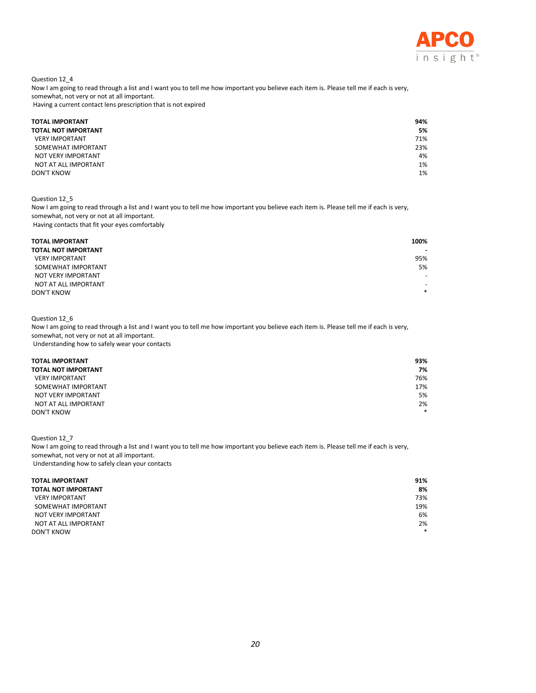

Question 12\_4

Now I am going to read through a list and I want you to tell me how important you believe each item is. Please tell me if each is very, somewhat, not very or not at all important.

Having a current contact lens prescription that is not expired

| <b>TOTAL IMPORTANT</b>     | 94% |
|----------------------------|-----|
| <b>TOTAL NOT IMPORTANT</b> | 5%  |
| <b>VERY IMPORTANT</b>      | 71% |
| SOMEWHAT IMPORTANT         | 23% |
| NOT VERY IMPORTANT         | 4%  |
| NOT AT ALL IMPORTANT       | 1%  |
| <b>DON'T KNOW</b>          | 1%  |

#### Question 12\_5

Now I am going to read through a list and I want you to tell me how important you believe each item is. Please tell me if each is very, somewhat, not very or not at all important. Having contacts that fit your eyes comfortably

| <b>TOTAL IMPORTANT</b>     | 100%                     |
|----------------------------|--------------------------|
| <b>TOTAL NOT IMPORTANT</b> | $\blacksquare$           |
| <b>VERY IMPORTANT</b>      | 95%                      |
| SOMEWHAT IMPORTANT         | 5%                       |
| NOT VERY IMPORTANT         | $\overline{\phantom{0}}$ |
| NOT AT ALL IMPORTANT       | $\overline{\phantom{0}}$ |
| <b>DON'T KNOW</b>          | $\ast$                   |

#### Question 12\_6

Now I am going to read through a list and I want you to tell me how important you believe each item is. Please tell me if each is very, somewhat, not very or not at all important. Understanding how to safely wear your contacts

| <b>TOTAL IMPORTANT</b> | 93%    |
|------------------------|--------|
| TOTAL NOT IMPORTANT    | 7%     |
| <b>VERY IMPORTANT</b>  | 76%    |
| SOMEWHAT IMPORTANT     | 17%    |
| NOT VERY IMPORTANT     | 5%     |
| NOT AT ALL IMPORTANT   | 2%     |
| <b>DON'T KNOW</b>      | $\ast$ |

Question 12\_7

Now I am going to read through a list and I want you to tell me how important you believe each item is. Please tell me if each is very, somewhat, not very or not at all important. Understanding how to safely clean your contacts

| <b>TOTAL IMPORTANT</b><br><b>TOTAL NOT IMPORTANT</b> | 91%<br>8% |
|------------------------------------------------------|-----------|
| <b>VERY IMPORTANT</b>                                | 73%       |
| SOMEWHAT IMPORTANT                                   | 19%       |
| NOT VERY IMPORTANT                                   | 6%        |
| NOT AT ALL IMPORTANT                                 | 2%        |
| <b>DON'T KNOW</b>                                    | $\ast$    |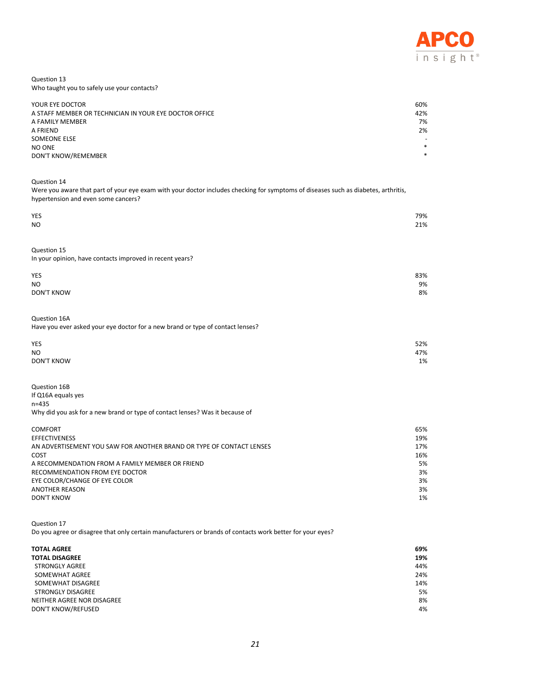

#### Question 13 Who taught you to safely use your contacts?

| YOUR EYE DOCTOR                                        | 60%                      |
|--------------------------------------------------------|--------------------------|
| A STAFF MEMBER OR TECHNICIAN IN YOUR EYE DOCTOR OFFICE | 42%                      |
| A FAMILY MEMBER                                        | 7%                       |
| A FRIEND                                               | 2%                       |
| SOMEONE ELSE                                           | $\overline{\phantom{0}}$ |
| NO ONE                                                 | $\ast$                   |
| DON'T KNOW/REMEMBER                                    | $\ast$                   |

Question 14

Were you aware that part of your eye exam with your doctor includes checking for symptoms of diseases such as diabetes, arthritis, hypertension and even some cancers?

| YES                                                                            | 79% |
|--------------------------------------------------------------------------------|-----|
| <b>NO</b>                                                                      | 21% |
|                                                                                |     |
|                                                                                |     |
| Question 15                                                                    |     |
| In your opinion, have contacts improved in recent years?                       |     |
|                                                                                |     |
| YES                                                                            | 83% |
| <b>NO</b>                                                                      | 9%  |
| <b>DON'T KNOW</b>                                                              | 8%  |
|                                                                                |     |
|                                                                                |     |
|                                                                                |     |
| Question 16A                                                                   |     |
| Have you ever asked your eye doctor for a new brand or type of contact lenses? |     |
|                                                                                |     |
| YES                                                                            | 52% |
| <b>NO</b>                                                                      | 47% |
| <b>DON'T KNOW</b>                                                              | 1%  |
|                                                                                |     |
|                                                                                |     |
| Question 16B                                                                   |     |
| If Q16A equals yes                                                             |     |
| $n = 435$                                                                      |     |
| Why did you ask for a new brand or type of contact lenses? Was it because of   |     |
|                                                                                |     |
|                                                                                |     |

| <b>COMFORT</b>                                                       | 65% |
|----------------------------------------------------------------------|-----|
| <b>EFFECTIVENESS</b>                                                 | 19% |
| AN ADVERTISEMENT YOU SAW FOR ANOTHER BRAND OR TYPE OF CONTACT LENSES | 17% |
| COST                                                                 | 16% |
| A RECOMMENDATION FROM A FAMILY MEMBER OR FRIEND                      | 5%  |
| RECOMMENDATION FROM EYE DOCTOR                                       | 3%  |
| EYE COLOR/CHANGE OF EYE COLOR                                        | 3%  |
| <b>ANOTHER REASON</b>                                                | 3%  |
| DON'T KNOW                                                           | 1%  |
|                                                                      |     |

Question 17 Do you agree or disagree that only certain manufacturers or brands of contacts work better for your eyes?

| <b>TOTAL AGREE</b>         | 69% |
|----------------------------|-----|
| <b>TOTAL DISAGREE</b>      | 19% |
| <b>STRONGLY AGREE</b>      | 44% |
| SOMEWHAT AGREE             | 24% |
| SOMEWHAT DISAGREE          | 14% |
| <b>STRONGLY DISAGREE</b>   | 5%  |
| NEITHER AGREE NOR DISAGREE | 8%  |
| <b>DON'T KNOW/REFUSED</b>  | 4%  |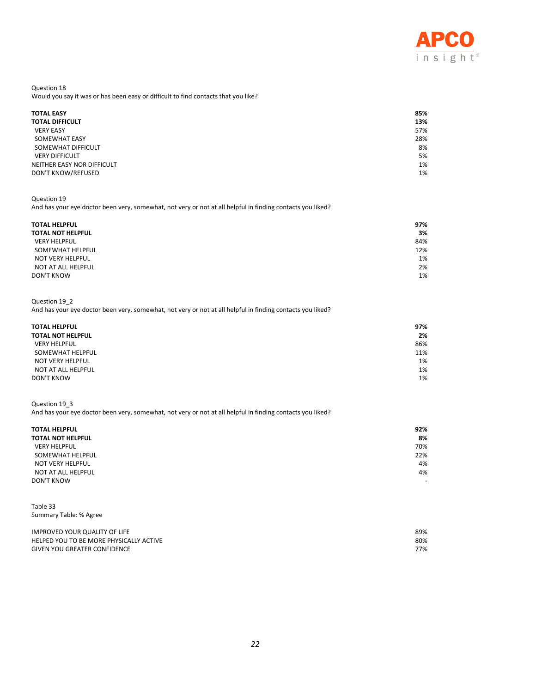

Question 18 Would you say it was or has been easy or difficult to find contacts that you like?

| <b>TOTAL EASY</b>          | 85% |
|----------------------------|-----|
| <b>TOTAL DIFFICULT</b>     | 13% |
| <b>VERY EASY</b>           | 57% |
| <b>SOMEWHAT EASY</b>       | 28% |
| SOMEWHAT DIFFICULT         | 8%  |
| <b>VERY DIFFICULT</b>      | 5%  |
| NEITHER EASY NOR DIFFICULT | 1%  |
| DON'T KNOW/REFUSED         | 1%  |

Question 19

And has your eye doctor been very, somewhat, not very or not at all helpful in finding contacts you liked?

| <b>TOTAL HELPFUL</b>     | 97% |
|--------------------------|-----|
| <b>TOTAL NOT HELPFUL</b> | 3%  |
| <b>VERY HELPFUL</b>      | 84% |
| SOMEWHAT HELPFUL         | 12% |
| NOT VERY HELPFUL         | 1%  |
| NOT AT ALL HELPFUL       | 2%  |
| <b>DON'T KNOW</b>        | 1%  |

### Question 19\_2

And has your eye doctor been very, somewhat, not very or not at all helpful in finding contacts you liked?

| <b>TOTAL HELPFUL</b>     | 97% |
|--------------------------|-----|
| <b>TOTAL NOT HELPFUL</b> | 2%  |
| <b>VERY HELPFUL</b>      | 86% |
| SOMEWHAT HELPFUL         | 11% |
| NOT VERY HELPFUL         | 1%  |
| NOT AT ALL HELPFUL       | 1%  |
| <b>DON'T KNOW</b>        | 1%  |

#### Question 19\_3

And has your eye doctor been very, somewhat, not very or not at all helpful in finding contacts you liked?

| <b>TOTAL HELPFUL</b> | 92%    |
|----------------------|--------|
| TOTAL NOT HELPFUL    | 8%     |
| <b>VERY HELPFUL</b>  | 70%    |
| SOMEWHAT HELPFUL     | 22%    |
| NOT VERY HELPFUL     | 4%     |
| NOT AT ALL HELPFUL   | 4%     |
| DON'T KNOW           | $\sim$ |

Table 33 Summary Table: % Agree

| IMPROVED YOUR QUALITY OF LIFE           | 89% |
|-----------------------------------------|-----|
| HELPED YOU TO BE MORE PHYSICALLY ACTIVE | 80% |
| <b>GIVEN YOU GREATER CONFIDENCE</b>     | 77% |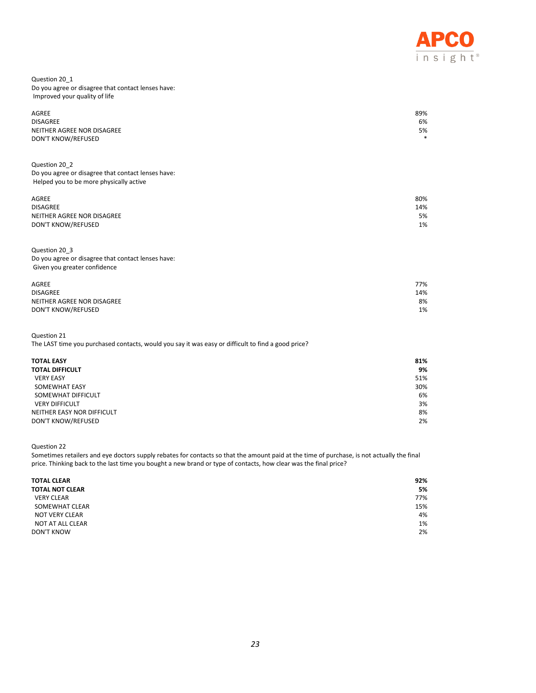

#### Question 20\_1 Do you agree or disagree that contact lenses have: Improved your quality of life

| AGREE                      | 89%    |
|----------------------------|--------|
| <b>DISAGREE</b>            | 6%     |
| NEITHER AGREE NOR DISAGREE | 5%     |
| <b>DON'T KNOW/REFUSED</b>  | $\ast$ |
|                            |        |

Question 20\_2 Do you agree or disagree that contact lenses have: Helped you to be more physically active

| AGREE                      | 80% |
|----------------------------|-----|
| <b>DISAGREE</b>            | 14% |
| NEITHER AGREE NOR DISAGREE | 5%  |
| DON'T KNOW/REFUSED         | 1%  |
|                            |     |

#### Question 20\_3 Do you agree or disagree that contact lenses have: Given you greater confidence

| AGREE                      | 77% |
|----------------------------|-----|
| <b>DISAGREE</b>            | 14% |
| NEITHER AGREE NOR DISAGREE | 8%  |
| DON'T KNOW/REFUSED         | 1%  |
|                            |     |

Question 21

The LAST time you purchased contacts, would you say it was easy or difficult to find a good price?

| <b>TOTAL EASY</b>          | 81% |
|----------------------------|-----|
| <b>TOTAL DIFFICULT</b>     | 9%  |
| <b>VERY EASY</b>           | 51% |
| SOMEWHAT EASY              | 30% |
| SOMEWHAT DIFFICULT         | 6%  |
| <b>VERY DIFFICULT</b>      | 3%  |
| NEITHER EASY NOR DIFFICULT | 8%  |
| DON'T KNOW/REFUSED         | 2%  |

Question 22

Sometimes retailers and eye doctors supply rebates for contacts so that the amount paid at the time of purchase, is not actually the final price. Thinking back to the last time you bought a new brand or type of contacts, how clear was the final price?

| <b>TOTAL CLEAR</b>     | 92% |
|------------------------|-----|
| <b>TOTAL NOT CLEAR</b> | 5%  |
| <b>VERY CLEAR</b>      | 77% |
| SOMEWHAT CLEAR         | 15% |
| NOT VERY CLEAR         | 4%  |
| NOT AT ALL CLEAR       | 1%  |
| <b>DON'T KNOW</b>      | 2%  |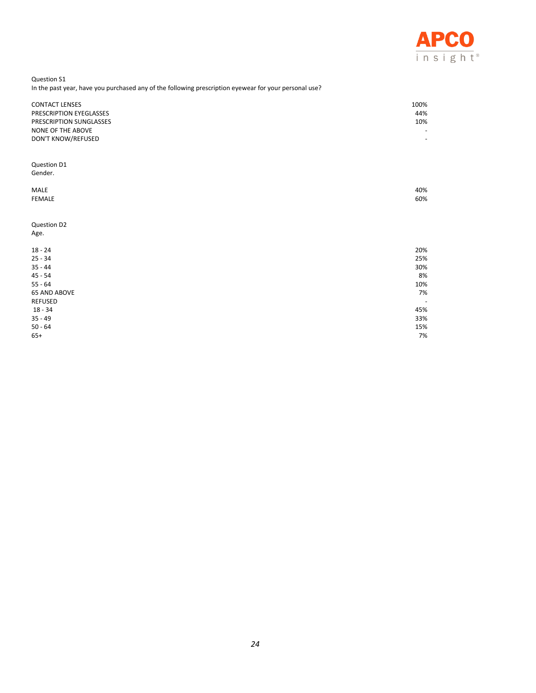

Question S1 In the past year, have you purchased any of the following prescription eyewear for your personal use?

| <b>CONTACT LENSES</b><br>PRESCRIPTION EYEGLASSES<br>PRESCRIPTION SUNGLASSES<br>NONE OF THE ABOVE<br>DON'T KNOW/REFUSED | 100%<br>44%<br>10%<br>$\overline{\phantom{a}}$ |
|------------------------------------------------------------------------------------------------------------------------|------------------------------------------------|
| Question D1<br>Gender.                                                                                                 |                                                |
| MALE<br><b>FEMALE</b>                                                                                                  | 40%<br>60%                                     |
| Question D2<br>Age.                                                                                                    |                                                |
| $18 - 24$                                                                                                              | 20%                                            |
| $25 - 34$                                                                                                              | 25%                                            |
| $35 - 44$                                                                                                              | 30%                                            |
| $45 - 54$<br>$55 - 64$                                                                                                 | 8%<br>10%                                      |
| <b>65 AND ABOVE</b>                                                                                                    | 7%                                             |
| <b>REFUSED</b>                                                                                                         | $\overline{\phantom{a}}$                       |
| $18 - 34$                                                                                                              | 45%                                            |
| $35 - 49$                                                                                                              | 33%                                            |
| $50 - 64$                                                                                                              | 15%                                            |
| $65+$                                                                                                                  | 7%                                             |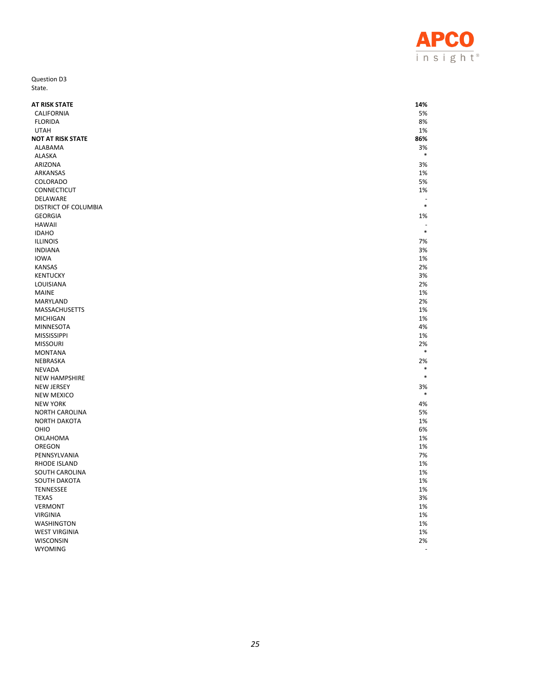

Question D3 State.

| AT RISK STATE            | 14%            |
|--------------------------|----------------|
| <b>CALIFORNIA</b>        | 5%             |
| <b>FLORIDA</b>           | 8%             |
| <b>UTAH</b>              | 1%             |
| <b>NOT AT RISK STATE</b> | 86%            |
| ALABAMA                  | 3%<br>$\ast$   |
| <b>ALASKA</b>            |                |
| ARIZONA                  | 3%             |
| ARKANSAS                 | 1%             |
| COLORADO                 | 5%             |
| CONNECTICUT              | 1%             |
| DELAWARE                 | $\ast$         |
| DISTRICT OF COLUMBIA     |                |
| <b>GEORGIA</b>           | 1%             |
| <b>HAWAII</b>            |                |
| <b>IDAHO</b>             | $\ast$         |
| <b>ILLINOIS</b>          | 7%             |
| <b>INDIANA</b>           | 3%             |
| <b>IOWA</b>              | 1%             |
| <b>KANSAS</b>            | 2%             |
| <b>KENTUCKY</b>          | 3%             |
| LOUISIANA                | 2%             |
| <b>MAINE</b>             | 1%             |
| MARYLAND                 | 2%             |
| MASSACHUSETTS            | 1%             |
| <b>MICHIGAN</b>          | 1%             |
| <b>MINNESOTA</b>         | 4%             |
| <b>MISSISSIPPI</b>       | 1%             |
| <b>MISSOURI</b>          | 2%             |
| <b>MONTANA</b>           | $\ast$         |
| NEBRASKA                 | 2%             |
| <b>NEVADA</b>            | $\ast$         |
| <b>NEW HAMPSHIRE</b>     | $\ast$         |
| <b>NEW JERSEY</b>        | 3%             |
| <b>NEW MEXICO</b>        | $\ast$         |
| <b>NEW YORK</b>          | 4%             |
| <b>NORTH CAROLINA</b>    | 5%             |
| <b>NORTH DAKOTA</b>      | 1%             |
| OHIO                     | 6%             |
| OKLAHOMA                 | 1%             |
| OREGON                   | 1%             |
| PENNSYLVANIA             | 7%             |
| <b>RHODE ISLAND</b>      | 1%             |
| SOUTH CAROLINA           | 1%             |
| SOUTH DAKOTA             | 1%             |
| <b>TENNESSEE</b>         | 1%             |
| <b>TEXAS</b>             | 3%             |
| <b>VERMONT</b>           | 1%             |
| <b>VIRGINIA</b>          | 1%             |
| <b>WASHINGTON</b>        | 1%             |
| <b>WEST VIRGINIA</b>     | 1%             |
| WISCONSIN                | 2%             |
| <b>WYOMING</b>           | $\overline{a}$ |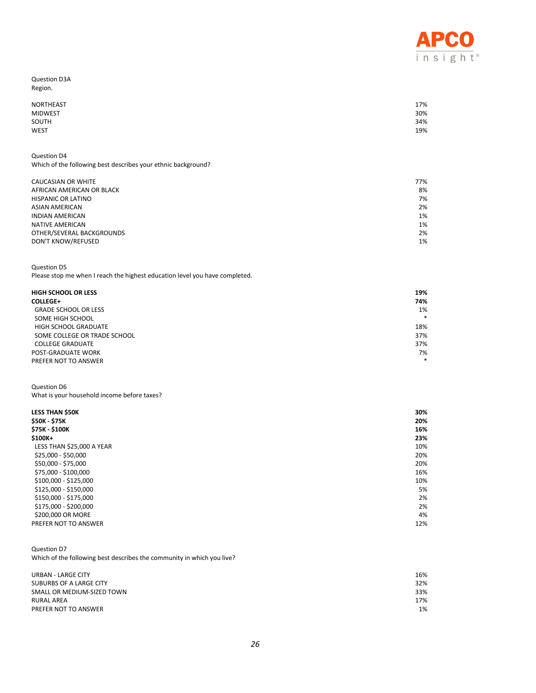

Question D3A Region.

| NORTHEAST      | 17% |
|----------------|-----|
| <b>MIDWEST</b> | 30% |
| SOUTH          | 34% |
| <b>WEST</b>    | 19% |

Question D4 Which of the following best describes your ethnic background?

| CAUCASIAN OR WHITE        | 77% |
|---------------------------|-----|
| AFRICAN AMERICAN OR BLACK | 8%  |
| HISPANIC OR LATINO        | 7%  |
| ASIAN AMERICAN            | 2%  |
| INDIAN AMERICAN           | 1%  |
| NATIVE AMERICAN           | 1%  |
| OTHER/SEVERAL BACKGROUNDS | 2%  |
| DON'T KNOW/REFUSED        | 1%  |
|                           |     |

Question D5

Please stop me when I reach the highest education level you have completed.

| <b>HIGH SCHOOL OR LESS</b>   | 19%    |
|------------------------------|--------|
| <b>COLLEGE+</b>              | 74%    |
| <b>GRADE SCHOOL OR LESS</b>  | 1%     |
| SOME HIGH SCHOOL             | $\ast$ |
| HIGH SCHOOL GRADUATE         | 18%    |
| SOME COLLEGE OR TRADE SCHOOL | 37%    |
| <b>COLLEGE GRADUATE</b>      | 37%    |
| POST-GRADUATE WORK           | 7%     |
| PREFER NOT TO ANSWER         | $\ast$ |

Question D6 What is your household income before taxes?

| <b>LESS THAN \$50K</b>    | 30% |
|---------------------------|-----|
| <b>\$50K - \$75K</b>      | 20% |
| \$75K \$100K              | 16% |
| $$100K +$                 | 23% |
| LESS THAN \$25,000 A YEAR | 10% |
| $$25,000 - $50,000$       | 20% |
| \$50,000 - \$75,000       | 20% |
| \$75,000 - \$100,000      | 16% |
| \$100,000 - \$125,000     | 10% |
| \$125,000 - \$150,000     | 5%  |
| \$150,000 - \$175,000     | 2%  |
| \$175,000 - \$200,000     | 2%  |
| \$200,000 OR MORE         | 4%  |
| PREFER NOT TO ANSWER      | 12% |

Question D7 Which of the following best describes the community in which you live?

| URBAN - LARGE CITY<br>SUBURBS OF A LARGE CITY<br>SMALL OR MEDIUM-SIZED TOWN | 16%<br>32%<br>33% |
|-----------------------------------------------------------------------------|-------------------|
| <b>RURAL AREA</b>                                                           | 17%               |
| PREFER NOT TO ANSWER                                                        | 1%                |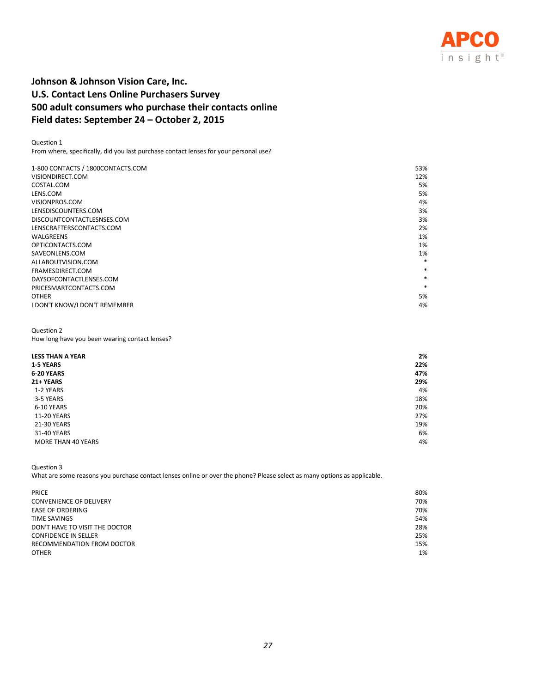

# **Johnson & Johnson Vision Care, Inc. U.S. Contact Lens Online Purchasers Survey 500 adult consumers who purchase their contacts online Field dates: September 24 – October 2, 2015**

Question 1 From where, specifically, did you last purchase contact lenses for your personal use?

| 1-800 CONTACTS / 1800CONTACTS.COM | 53%    |
|-----------------------------------|--------|
| VISIONDIRECT.COM                  | 12%    |
| COSTAL.COM                        | 5%     |
| LENS.COM                          | 5%     |
| VISIONPROS.COM                    | 4%     |
| LENSDISCOUNTERS.COM               | 3%     |
| DISCOUNTCONTACTLESNSES.COM        | 3%     |
| LENSCRAFTERSCONTACTS.COM          | 2%     |
| WALGREENS                         | 1%     |
| OPTICONTACTS.COM                  | 1%     |
| SAVEONLENS.COM                    | 1%     |
| ALLABOUTVISION.COM                | $\ast$ |
| FRAMESDIRECT.COM                  | $\ast$ |
| DAYSOFCONTACTLENSES.COM           | $\ast$ |
| PRICESMARTCONTACTS.COM            | $\ast$ |
| <b>OTHER</b>                      | 5%     |
| I DON'T KNOW/I DON'T REMEMBER     | 4%     |

# Question 2

How long have you been wearing contact lenses?

| <b>LESS THAN A YEAR</b> | 2%  |
|-------------------------|-----|
| 1-5 YEARS               | 22% |
| 6-20 YEARS              | 47% |
| 21+ YEARS               | 29% |
| 1-2 YEARS               | 4%  |
| 3-5 YEARS               | 18% |
| 6-10 YEARS              | 20% |
| 11-20 YEARS             | 27% |
| 21-30 YEARS             | 19% |
| 31-40 YEARS             | 6%  |
| MORE THAN 40 YEARS      | 4%  |

Question 3

What are some reasons you purchase contact lenses online or over the phone? Please select as many options as applicable.

| <b>PRICE</b>                   | 80% |
|--------------------------------|-----|
| <b>CONVENIENCE OF DELIVERY</b> | 70% |
| <b>EASE OF ORDERING</b>        | 70% |
| TIME SAVINGS                   | 54% |
| DON'T HAVE TO VISIT THE DOCTOR | 28% |
| <b>CONFIDENCE IN SELLER</b>    | 25% |
| RECOMMENDATION FROM DOCTOR     | 15% |
| <b>OTHER</b>                   | 1%  |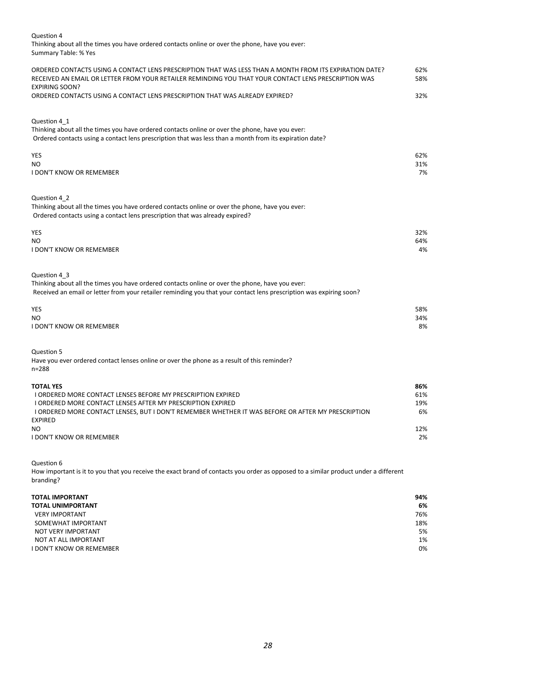Thinking about all the times you have ordered contacts online or over the phone, have you ever: Summary Table: % Yes

| ORDERED CONTACTS USING A CONTACT LENS PRESCRIPTION THAT WAS LESS THAN A MONTH FROM ITS EXPIRATION DATE?<br>RECEIVED AN EMAIL OR LETTER FROM YOUR RETAILER REMINDING YOU THAT YOUR CONTACT LENS PRESCRIPTION WAS | 62%<br>58% |
|-----------------------------------------------------------------------------------------------------------------------------------------------------------------------------------------------------------------|------------|
| <b>EXPIRING SOON?</b>                                                                                                                                                                                           |            |
| ORDERED CONTACTS USING A CONTACT LENS PRESCRIPTION THAT WAS ALREADY EXPIRED?                                                                                                                                    | 32%        |
|                                                                                                                                                                                                                 |            |
| Question 4 1                                                                                                                                                                                                    |            |
| Thinking about all the times you have ordered contacts online or over the phone, have you ever:                                                                                                                 |            |
| Ordered contacts using a contact lens prescription that was less than a month from its expiration date?                                                                                                         |            |
|                                                                                                                                                                                                                 |            |
| <b>YES</b>                                                                                                                                                                                                      | 62%        |
| NO.<br><b>I DON'T KNOW OR REMEMBER</b>                                                                                                                                                                          | 31%<br>7%  |
|                                                                                                                                                                                                                 |            |
|                                                                                                                                                                                                                 |            |
| Question 4 2                                                                                                                                                                                                    |            |
| Thinking about all the times you have ordered contacts online or over the phone, have you ever:                                                                                                                 |            |
| Ordered contacts using a contact lens prescription that was already expired?                                                                                                                                    |            |
| YES                                                                                                                                                                                                             | 32%        |
| NO                                                                                                                                                                                                              | 64%        |
| <b>I DON'T KNOW OR REMEMBER</b>                                                                                                                                                                                 | 4%         |
|                                                                                                                                                                                                                 |            |
| Question 4_3                                                                                                                                                                                                    |            |
| Thinking about all the times you have ordered contacts online or over the phone, have you ever:                                                                                                                 |            |
| Received an email or letter from your retailer reminding you that your contact lens prescription was expiring soon?                                                                                             |            |
|                                                                                                                                                                                                                 |            |
| YES                                                                                                                                                                                                             | 58%        |
| NO.                                                                                                                                                                                                             | 34%        |
| <b>I DON'T KNOW OR REMEMBER</b>                                                                                                                                                                                 | 8%         |
|                                                                                                                                                                                                                 |            |
| Question 5                                                                                                                                                                                                      |            |
| Have you ever ordered contact lenses online or over the phone as a result of this reminder?                                                                                                                     |            |
| $n = 288$                                                                                                                                                                                                       |            |
| <b>TOTAL YES</b>                                                                                                                                                                                                | 86%        |
| I ORDERED MORE CONTACT LENSES BEFORE MY PRESCRIPTION EXPIRED                                                                                                                                                    | 61%        |
| I ORDERED MORE CONTACT LENSES AFTER MY PRESCRIPTION EXPIRED                                                                                                                                                     | 19%        |
| I ORDERED MORE CONTACT LENSES, BUT I DON'T REMEMBER WHETHER IT WAS BEFORE OR AFTER MY PRESCRIPTION                                                                                                              | 6%         |
| <b>EXPIRED</b>                                                                                                                                                                                                  |            |
| <b>NO</b><br><b>I DON'T KNOW OR REMEMBER</b>                                                                                                                                                                    | 12%<br>2%  |
|                                                                                                                                                                                                                 |            |

Question 6

How important is it to you that you receive the exact brand of contacts you order as opposed to a similar product under a different branding?

| <b>TOTAL IMPORTANT</b>          | 94% |
|---------------------------------|-----|
| <b>TOTAL UNIMPORTANT</b>        | 6%  |
| <b>VERY IMPORTANT</b>           | 76% |
| SOMEWHAT IMPORTANT              | 18% |
| NOT VERY IMPORTANT              | 5%  |
| NOT AT ALL IMPORTANT            | 1%  |
| <b>I DON'T KNOW OR REMEMBER</b> | 0%  |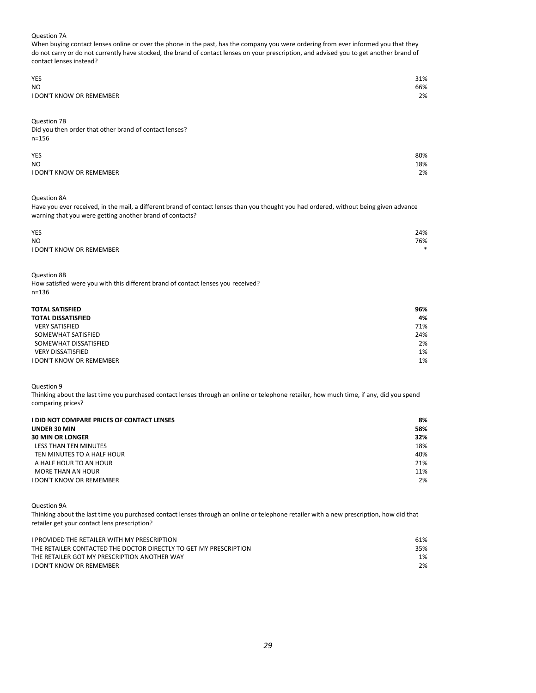#### Question 7A

When buying contact lenses online or over the phone in the past, has the company you were ordering from ever informed you that they do not carry or do not currently have stocked, the brand of contact lenses on your prescription, and advised you to get another brand of contact lenses instead?

| <b>YES</b>                      | 31% |
|---------------------------------|-----|
| N <sub>O</sub>                  | 66% |
| <b>I DON'T KNOW OR REMEMBER</b> | 2%  |

Question 7B

Did you then order that other brand of contact lenses? n=156

| <b>YES</b>                      | 80% |
|---------------------------------|-----|
| <b>NO</b>                       | 18% |
| <b>I DON'T KNOW OR REMEMBER</b> | 2%  |

Question 8A

Have you ever received, in the mail, a different brand of contact lenses than you thought you had ordered, without being given advance warning that you were getting another brand of contacts?

| <b>YES</b>                      | 24%     |
|---------------------------------|---------|
| <b>NO</b>                       | 76%     |
| <b>I DON'T KNOW OR REMEMBER</b> | $\star$ |

Question 8B

How satisfied were you with this different brand of contact lenses you received? n=136

| <b>TOTAL SATISFIED</b>    | 96% |
|---------------------------|-----|
| <b>TOTAL DISSATISFIED</b> | 4%  |
| <b>VERY SATISFIED</b>     | 71% |
| SOMEWHAT SATISFIED        | 24% |
| SOMEWHAT DISSATISFIED     | 2%  |
| <b>VERY DISSATISFIED</b>  | 1%  |
| I DON'T KNOW OR REMEMBER  | 1%  |

Question 9

Thinking about the last time you purchased contact lenses through an online or telephone retailer, how much time, if any, did you spend comparing prices?

| <b>I DID NOT COMPARE PRICES OF CONTACT LENSES</b> | 8%  |
|---------------------------------------------------|-----|
| <b>UNDER 30 MIN</b>                               | 58% |
| <b>30 MIN OR LONGER</b>                           | 32% |
| LESS THAN TEN MINUTES                             | 18% |
| TEN MINUTES TO A HALF HOUR                        | 40% |
| A HALF HOUR TO AN HOUR                            | 21% |
| MORE THAN AN HOUR                                 | 11% |
| <b>I DON'T KNOW OR REMEMBER</b>                   | 2%  |

Question 9A

Thinking about the last time you purchased contact lenses through an online or telephone retailer with a new prescription, how did that retailer get your contact lens prescription?

| I PROVIDED THE RETAILER WITH MY PRESCRIPTION                      | 61% |
|-------------------------------------------------------------------|-----|
| THE RETAILER CONTACTED THE DOCTOR DIRECTLY TO GET MY PRESCRIPTION | 35% |
| THE RETAILER GOT MY PRESCRIPTION ANOTHER WAY                      | 1%  |
| <b>I DON'T KNOW OR REMEMBER</b>                                   | 2%  |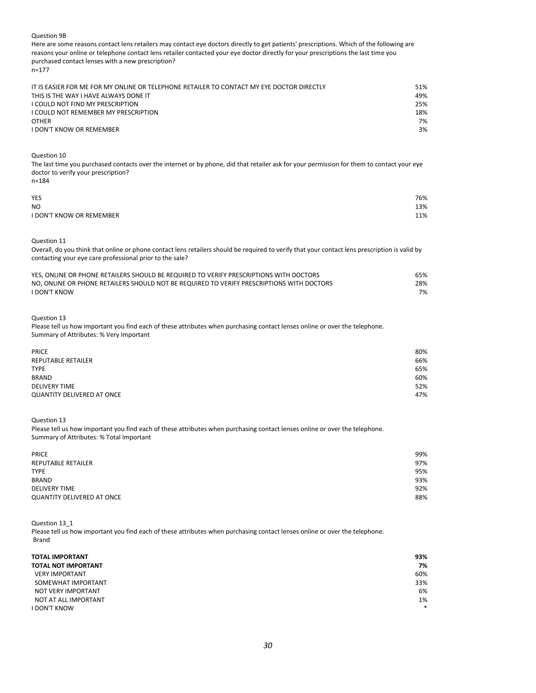#### Question 9B

Here are some reasons contact lens retailers may contact eye doctors directly to get patients' prescriptions. Which of the following are reasons your online or telephone contact lens retailer contacted your eye doctor directly for your prescriptions the last time you purchased contact lenses with a new prescription? n=177

| IT IS EASIER FOR ME FOR MY ONLINE OR TELEPHONE RETAILER TO CONTACT MY EYE DOCTOR DIRECTLY | 51% |
|-------------------------------------------------------------------------------------------|-----|
| THIS IS THE WAY I HAVE ALWAYS DONE IT                                                     | 49% |
| I COULD NOT FIND MY PRESCRIPTION                                                          | 25% |
| I COULD NOT REMEMBER MY PRESCRIPTION                                                      | 18% |
| <b>OTHER</b>                                                                              | 7%  |
| I DON'T KNOW OR REMEMBER                                                                  | 3%  |
|                                                                                           |     |

Question 10

n=184

The last time you purchased contacts over the internet or by phone, did that retailer ask for your permission for them to contact your eye doctor to verify your prescription?

| YES                             | 76% |
|---------------------------------|-----|
| <b>NO</b>                       | 13% |
| <b>I DON'T KNOW OR REMEMBER</b> | 11% |

Question 11

Overall, do you think that online or phone contact lens retailers should be required to verify that your contact lens prescription is valid by contacting your eye care professional prior to the sale?

| YES. ONLINE OR PHONE RETAILERS SHOULD BE REQUIRED TO VERIFY PRESCRIPTIONS WITH DOCTORS    | 65% |
|-------------------------------------------------------------------------------------------|-----|
| NO. ONLINE OR PHONE RETAILERS SHOULD NOT BE REQUIRED TO VERIFY PRESCRIPTIONS WITH DOCTORS | 28% |
| <b>I DON'T KNOW</b>                                                                       | 7%  |

Question 13

Please tell us how important you find each of these attributes when purchasing contact lenses online or over the telephone. Summary of Attributes: % Very Important

| <b>PRICE</b>                      | 80% |
|-----------------------------------|-----|
| <b>REPUTABLE RETAILER</b>         | 66% |
| <b>TYPE</b>                       | 65% |
| <b>BRAND</b>                      | 60% |
| <b>DELIVERY TIME</b>              | 52% |
| <b>QUANTITY DELIVERED AT ONCE</b> | 47% |

Question 13

Please tell us how important you find each of these attributes when purchasing contact lenses online or over the telephone. Summary of Attributes: % Total Important

| <b>PRICE</b>                      | 99% |
|-----------------------------------|-----|
| <b>REPUTABLE RETAILER</b>         | 97% |
| <b>TYPE</b>                       | 95% |
| <b>BRAND</b>                      | 93% |
| <b>DELIVERY TIME</b>              | 92% |
| <b>QUANTITY DELIVERED AT ONCE</b> | 88% |

Question 13\_1 Please tell us how important you find each of these attributes when purchasing contact lenses online or over the telephone. Brand

| <b>TOTAL IMPORTANT</b>     | 93%    |
|----------------------------|--------|
| <b>TOTAL NOT IMPORTANT</b> | 7%     |
| <b>VERY IMPORTANT</b>      | 60%    |
| SOMEWHAT IMPORTANT         | 33%    |
| NOT VERY IMPORTANT         | 6%     |
| NOT AT ALL IMPORTANT       | 1%     |
| <b>I DON'T KNOW</b>        | $\ast$ |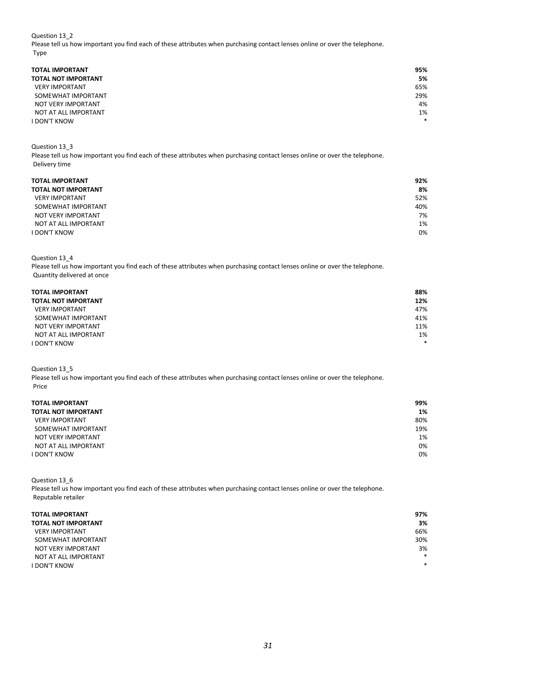Question 13\_2

Please tell us how important you find each of these attributes when purchasing contact lenses online or over the telephone. Type

| <b>TOTAL IMPORTANT</b>     | 95% |
|----------------------------|-----|
| <b>TOTAL NOT IMPORTANT</b> | 5%  |
| <b>VERY IMPORTANT</b>      | 65% |
| SOMEWHAT IMPORTANT         | 29% |
| NOT VERY IMPORTANT         | 4%  |
| NOT AT ALL IMPORTANT       | 1%  |
| <b>I DON'T KNOW</b>        | *   |

Question 13\_3

Please tell us how important you find each of these attributes when purchasing contact lenses online or over the telephone. Delivery time

| <b>TOTAL IMPORTANT</b>     | 92% |
|----------------------------|-----|
| <b>TOTAL NOT IMPORTANT</b> | 8%  |
| <b>VERY IMPORTANT</b>      | 52% |
| SOMEWHAT IMPORTANT         | 40% |
| NOT VERY IMPORTANT         | 7%  |
| NOT AT ALL IMPORTANT       | 1%  |
| <b>I DON'T KNOW</b>        | 0%  |

Question 13\_4

Please tell us how important you find each of these attributes when purchasing contact lenses online or over the telephone. Quantity delivered at once

| <b>TOTAL IMPORTANT</b>     | 88%    |
|----------------------------|--------|
| <b>TOTAL NOT IMPORTANT</b> | 12%    |
| <b>VERY IMPORTANT</b>      | 47%    |
| SOMEWHAT IMPORTANT         | 41%    |
| NOT VERY IMPORTANT         | 11%    |
| NOT AT ALL IMPORTANT       | 1%     |
| <b>I DON'T KNOW</b>        | $\ast$ |

Question 13\_5

Please tell us how important you find each of these attributes when purchasing contact lenses online or over the telephone. Price

| TOTAL IMPORTANT |  |
|-----------------|--|
|-----------------|--|

| <b>TOTAL IMPORTANT</b>     | 99% |
|----------------------------|-----|
| <b>TOTAL NOT IMPORTANT</b> | 1%  |
| <b>VERY IMPORTANT</b>      | 80% |
| SOMEWHAT IMPORTANT         | 19% |
| NOT VERY IMPORTANT         | 1%  |
| NOT AT ALL IMPORTANT       | 0%  |
| <b>I DON'T KNOW</b>        | 0%  |

Question 13\_6

Please tell us how important you find each of these attributes when purchasing contact lenses online or over the telephone. Reputable retailer

| <b>TOTAL IMPORTANT</b>     | 97%    |
|----------------------------|--------|
| <b>TOTAL NOT IMPORTANT</b> | 3%     |
| <b>VERY IMPORTANT</b>      | 66%    |
| SOMEWHAT IMPORTANT         | 30%    |
| NOT VERY IMPORTANT         | 3%     |
| NOT AT ALL IMPORTANT       | *      |
| <b>I DON'T KNOW</b>        | $\ast$ |